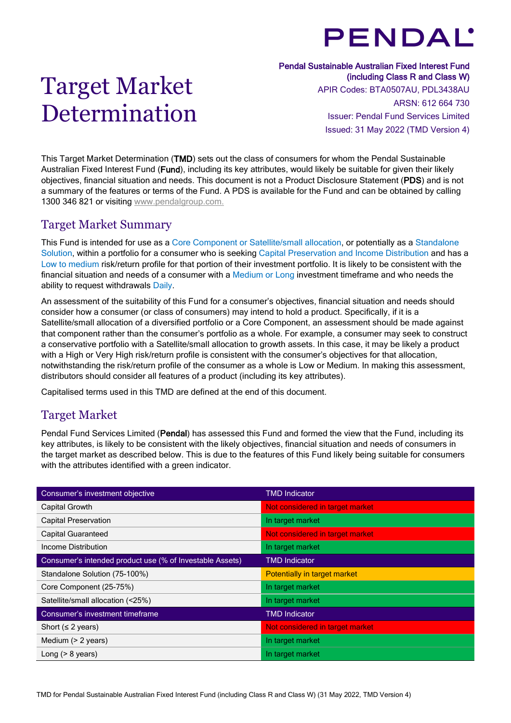# **PENDAL'**

## Target Market Determination

#### Pendal Sustainable Australian Fixed Interest Fund (including Class R and Class W)

APIR Codes: BTA0507AU, PDL3438AU ARSN: 612 664 730 Issuer: Pendal Fund Services Limited Issued: 31 May 2022 (TMD Version 4)

This Target Market Determination (TMD) sets out the class of consumers for whom the Pendal Sustainable Australian Fixed Interest Fund (Fund), including its key attributes, would likely be suitable for given their likely objectives, financial situation and needs. This document is not a Product Disclosure Statement (PDS) and is not a summary of the features or terms of the Fund. A PDS is available for the Fund and can be obtained by calling 1300 346 821 or visiting [www.pendalgroup.com.](http://www.pendalgroup.com/)

## Target Market Summary

This Fund is intended for use as a Core Component or Satellite/small allocation, or potentially as a Standalone Solution, within a portfolio for a consumer who is seeking Capital Preservation and Income Distribution and has a Low to medium risk/return profile for that portion of their investment portfolio. It is likely to be consistent with the financial situation and needs of a consumer with a Medium or Long investment timeframe and who needs the ability to request withdrawals Daily.

An assessment of the suitability of this Fund for a consumer's objectives, financial situation and needs should consider how a consumer (or class of consumers) may intend to hold a product. Specifically, if it is a Satellite/small allocation of a diversified portfolio or a Core Component, an assessment should be made against that component rather than the consumer's portfolio as a whole. For example, a consumer may seek to construct a conservative portfolio with a Satellite/small allocation to growth assets. In this case, it may be likely a product with a High or Very High risk/return profile is consistent with the consumer's objectives for that allocation, notwithstanding the risk/return profile of the consumer as a whole is Low or Medium. In making this assessment, distributors should consider all features of a product (including its key attributes).

Capitalised terms used in this TMD are defined at the end of this document.

## Target Market

Pendal Fund Services Limited (Pendal) has assessed this Fund and formed the view that the Fund, including its key attributes, is likely to be consistent with the likely objectives, financial situation and needs of consumers in the target market as described below. This is due to the features of this Fund likely being suitable for consumers with the attributes identified with a green indicator.

| Consumer's investment objective                          | <b>TMD Indicator</b>            |
|----------------------------------------------------------|---------------------------------|
| Capital Growth                                           | Not considered in target market |
| <b>Capital Preservation</b>                              | In target market                |
| <b>Capital Guaranteed</b>                                | Not considered in target market |
| Income Distribution                                      | In target market                |
| Consumer's intended product use (% of Investable Assets) | <b>TMD Indicator</b>            |
| Standalone Solution (75-100%)                            | Potentially in target market    |
| Core Component (25-75%)                                  | In target market                |
| Satellite/small allocation (<25%)                        | In target market                |
| Consumer's investment timeframe                          | <b>TMD Indicator</b>            |
| Short ( $\leq$ 2 years)                                  | Not considered in target market |
| Medium (> 2 years)                                       | In target market                |
| Long $(> 8$ years)                                       | In target market                |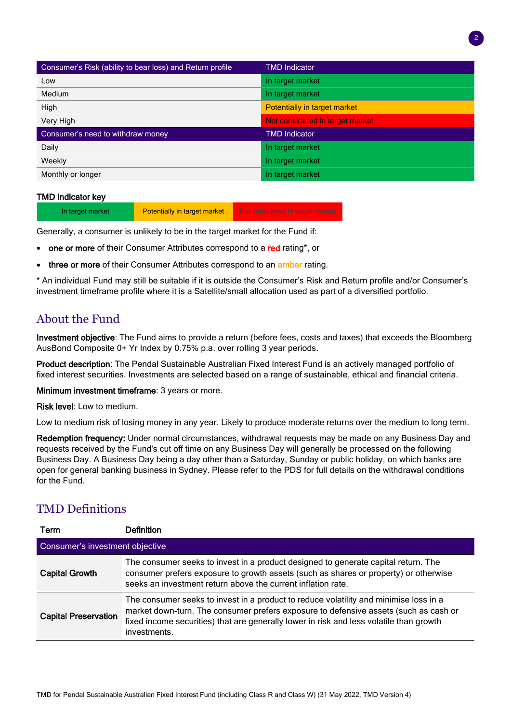| Consumer's Risk (ability to bear loss) and Return profile | <b>TMD Indicator</b>            |
|-----------------------------------------------------------|---------------------------------|
| Low                                                       | In target market                |
| <b>Medium</b>                                             | In target market                |
| High                                                      | Potentially in target market    |
| Very High                                                 | Not considered in target market |
| Consumer's need to withdraw money                         | <b>TMD Indicator</b>            |
| Daily                                                     | In target market                |
| Weekly                                                    | In target market                |
| Monthly or longer                                         | In target market                |

#### TMD indicator key

In target market **Potentially in target market** Not considered in target market

Generally, a consumer is unlikely to be in the target market for the Fund if:

- one or more of their Consumer Attributes correspond to a red rating\*, or
- three or more of their Consumer Attributes correspond to an amber rating.

\* An individual Fund may still be suitable if it is outside the Consumer's Risk and Return profile and/or Consumer's investment timeframe profile where it is a Satellite/small allocation used as part of a diversified portfolio.

## About the Fund

Investment objective: The Fund aims to provide a return (before fees, costs and taxes) that exceeds the Bloomberg AusBond Composite 0+ Yr Index by 0.75% p.a. over rolling 3 year periods.

Product description: The Pendal Sustainable Australian Fixed Interest Fund is an actively managed portfolio of fixed interest securities. Investments are selected based on a range of sustainable, ethical and financial criteria.

**Minimum investment timeframe: 3 years or more.** 

Risk level: Low to medium.

Low to medium risk of losing money in any year. Likely to produce moderate returns over the medium to long term.

Redemption frequency: Under normal circumstances, withdrawal requests may be made on any Business Day and requests received by the Fund's cut off time on any Business Day will generally be processed on the following Business Day. A Business Day being a day other than a Saturday, Sunday or public holiday, on which banks are open for general banking business in Sydney. Please refer to the PDS for full details on the withdrawal conditions for the Fund.

## TMD Definitions

| Term                            | <b>Definition</b>                                                                                                                                                                                                                                                                        |  |  |
|---------------------------------|------------------------------------------------------------------------------------------------------------------------------------------------------------------------------------------------------------------------------------------------------------------------------------------|--|--|
| Consumer's investment objective |                                                                                                                                                                                                                                                                                          |  |  |
| <b>Capital Growth</b>           | The consumer seeks to invest in a product designed to generate capital return. The<br>consumer prefers exposure to growth assets (such as shares or property) or otherwise<br>seeks an investment return above the current inflation rate.                                               |  |  |
| <b>Capital Preservation</b>     | The consumer seeks to invest in a product to reduce volatility and minimise loss in a<br>market down-turn. The consumer prefers exposure to defensive assets (such as cash or<br>fixed income securities) that are generally lower in risk and less volatile than growth<br>investments. |  |  |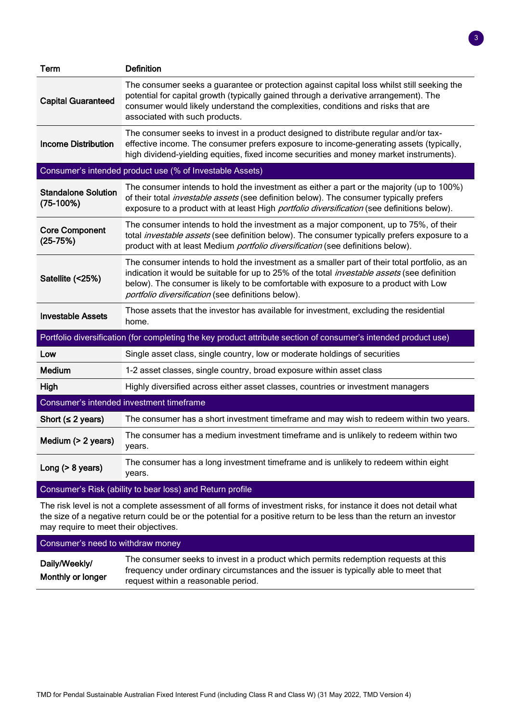| Term                                      | <b>Definition</b>                                                                                                                                                                                                                                                                                                                                  |  |
|-------------------------------------------|----------------------------------------------------------------------------------------------------------------------------------------------------------------------------------------------------------------------------------------------------------------------------------------------------------------------------------------------------|--|
| <b>Capital Guaranteed</b>                 | The consumer seeks a guarantee or protection against capital loss whilst still seeking the<br>potential for capital growth (typically gained through a derivative arrangement). The<br>consumer would likely understand the complexities, conditions and risks that are<br>associated with such products.                                          |  |
| <b>Income Distribution</b>                | The consumer seeks to invest in a product designed to distribute regular and/or tax-<br>effective income. The consumer prefers exposure to income-generating assets (typically,<br>high dividend-yielding equities, fixed income securities and money market instruments).                                                                         |  |
|                                           | Consumer's intended product use (% of Investable Assets)                                                                                                                                                                                                                                                                                           |  |
| <b>Standalone Solution</b><br>$(75-100%)$ | The consumer intends to hold the investment as either a part or the majority (up to 100%)<br>of their total <i>investable assets</i> (see definition below). The consumer typically prefers<br>exposure to a product with at least High <i>portfolio diversification</i> (see definitions below).                                                  |  |
| <b>Core Component</b><br>$(25-75%)$       | The consumer intends to hold the investment as a major component, up to 75%, of their<br>total <i>investable assets</i> (see definition below). The consumer typically prefers exposure to a<br>product with at least Medium portfolio diversification (see definitions below).                                                                    |  |
| Satellite (<25%)                          | The consumer intends to hold the investment as a smaller part of their total portfolio, as an<br>indication it would be suitable for up to 25% of the total <i>investable assets</i> (see definition<br>below). The consumer is likely to be comfortable with exposure to a product with Low<br>portfolio diversification (see definitions below). |  |
| Investable Assets                         | Those assets that the investor has available for investment, excluding the residential<br>home.                                                                                                                                                                                                                                                    |  |
|                                           | Portfolio diversification (for completing the key product attribute section of consumer's intended product use)                                                                                                                                                                                                                                    |  |
| Low                                       | Single asset class, single country, low or moderate holdings of securities                                                                                                                                                                                                                                                                         |  |
| <b>Medium</b>                             | 1-2 asset classes, single country, broad exposure within asset class                                                                                                                                                                                                                                                                               |  |
| High                                      | Highly diversified across either asset classes, countries or investment managers                                                                                                                                                                                                                                                                   |  |
|                                           | Consumer's intended investment timeframe                                                                                                                                                                                                                                                                                                           |  |
| Short ( $\leq$ 2 years)                   | The consumer has a short investment timeframe and may wish to redeem within two years.                                                                                                                                                                                                                                                             |  |
| Medium (> 2 years)                        | The consumer has a medium investment timeframe and is unlikely to redeem within two<br>years.                                                                                                                                                                                                                                                      |  |
| Long $(> 8$ years)                        | The consumer has a long investment timeframe and is unlikely to redeem within eight<br>years.                                                                                                                                                                                                                                                      |  |

3

#### Consumer's Risk (ability to bear loss) and Return profile

The risk level is not a complete assessment of all forms of investment risks, for instance it does not detail what the size of a negative return could be or the potential for a positive return to be less than the return an investor may require to meet their objectives.

#### Consumer's need to withdraw money

| Daily/Weekly/     | The consumer seeks to invest in a product which permits redemption requests at this  |
|-------------------|--------------------------------------------------------------------------------------|
| Monthly or longer | frequency under ordinary circumstances and the issuer is typically able to meet that |
|                   | request within a reasonable period.                                                  |